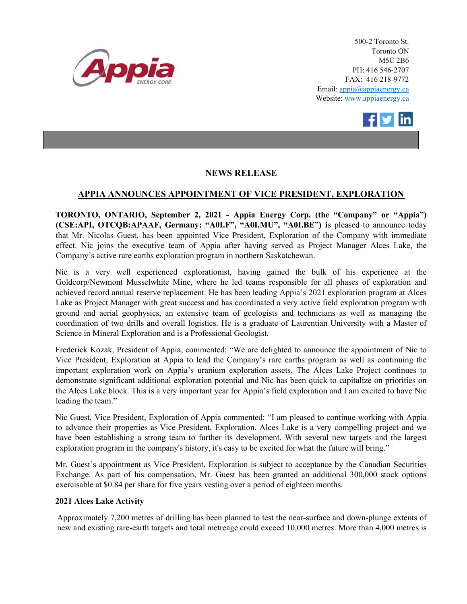

500-2 Toronto St. Toronto ON M5C 2B6 PH: 416 546-2707 FAX: 416 218-9772 Email: appia@appiaenergy.ca Website: www.appiaenergy.ca



## NEWS RELEASE

## APPIA ANNOUNCES APPOINTMENT OF VICE PRESIDENT, EXPLORATION

TORONTO, ONTARIO, September 2, 2021 - Appia Energy Corp. (the "Company" or "Appia") (CSE:API, OTCQB:APAAF, Germany: "A0I.F", "A0I.MU", "A0I.BE") is pleased to announce today that Mr. Nicolas Guest, has been appointed Vice President, Exploration of the Company with immediate effect. Nic joins the executive team of Appia after having served as Project Manager Alces Lake, the Company's active rare earths exploration program in northern Saskatchewan.

Nic is a very well experienced explorationist, having gained the bulk of his experience at the Goldcorp/Newmont Musselwhite Mine, where he led teams responsible for all phases of exploration and achieved record annual reserve replacement. He has been leading Appia's 2021 exploration program at Alces Lake as Project Manager with great success and has coordinated a very active field exploration program with ground and aerial geophysics, an extensive team of geologists and technicians as well as managing the coordination of two drills and overall logistics. He is a graduate of Laurentian University with a Master of Science in Mineral Exploration and is a Professional Geologist.

Frederick Kozak, President of Appia, commented: "We are delighted to announce the appointment of Nic to Vice President, Exploration at Appia to lead the Company's rare earths program as well as continuing the important exploration work on Appia's uranium exploration assets. The Alces Lake Project continues to demonstrate significant additional exploration potential and Nic has been quick to capitalize on priorities on the Alces Lake block. This is a very important year for Appia's field exploration and I am excited to have Nic leading the team."

Nic Guest, Vice President, Exploration of Appia commented: "I am pleased to continue working with Appia to advance their properties as Vice President, Exploration. Alces Lake is a very compelling project and we have been establishing a strong team to further its development. With several new targets and the largest exploration program in the company's history, it's easy to be excited for what the future will bring."

Mr. Guest's appointment as Vice President, Exploration is subject to acceptance by the Canadian Securities Exchange. As part of his compensation, Mr. Guest has been granted an additional 300,000 stock options exercisable at \$0.84 per share for five years vesting over a period of eighteen months.

## 2021 Alces Lake Activity

Approximately 7,200 metres of drilling has been planned to test the near-surface and down-plunge extents of new and existing rare-earth targets and total metreage could exceed 10,000 metres. More than 4,000 metres is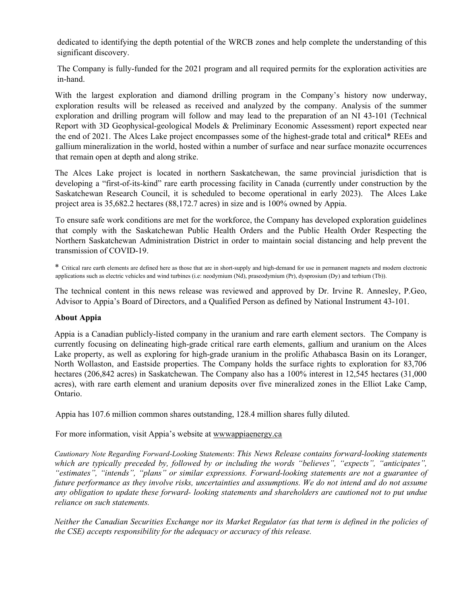dedicated to identifying the depth potential of the WRCB zones and help complete the understanding of this significant discovery.

The Company is fully-funded for the 2021 program and all required permits for the exploration activities are in-hand.

With the largest exploration and diamond drilling program in the Company's history now underway, exploration results will be released as received and analyzed by the company. Analysis of the summer exploration and drilling program will follow and may lead to the preparation of an NI 43-101 (Technical Report with 3D Geophysical-geological Models & Preliminary Economic Assessment) report expected near the end of 2021. The Alces Lake project encompasses some of the highest-grade total and critical\* REEs and gallium mineralization in the world, hosted within a number of surface and near surface monazite occurrences that remain open at depth and along strike.

The Alces Lake project is located in northern Saskatchewan, the same provincial jurisdiction that is developing a "first-of-its-kind" rare earth processing facility in Canada (currently under construction by the Saskatchewan Research Council, it is scheduled to become operational in early 2023). The Alces Lake project area is 35,682.2 hectares (88,172.7 acres) in size and is 100% owned by Appia.

To ensure safe work conditions are met for the workforce, the Company has developed exploration guidelines that comply with the Saskatchewan Public Health Orders and the Public Health Order Respecting the Northern Saskatchewan Administration District in order to maintain social distancing and help prevent the transmission of COVID-19.

\* Critical rare earth elements are defined here as those that are in short-supply and high-demand for use in permanent magnets and modern electronic applications such as electric vehicles and wind turbines (i.e: neodymium (Nd), praseodymium (Pr), dysprosium (Dy) and terbium (Tb)).

The technical content in this news release was reviewed and approved by Dr. Irvine R. Annesley, P.Geo, Advisor to Appia's Board of Directors, and a Qualified Person as defined by National Instrument 43-101.

## About Appia

Appia is a Canadian publicly-listed company in the uranium and rare earth element sectors. The Company is currently focusing on delineating high-grade critical rare earth elements, gallium and uranium on the Alces Lake property, as well as exploring for high-grade uranium in the prolific Athabasca Basin on its Loranger, North Wollaston, and Eastside properties. The Company holds the surface rights to exploration for 83,706 hectares (206,842 acres) in Saskatchewan. The Company also has a 100% interest in 12,545 hectares (31,000 acres), with rare earth element and uranium deposits over five mineralized zones in the Elliot Lake Camp, Ontario.

Appia has 107.6 million common shares outstanding, 128.4 million shares fully diluted.

For more information, visit Appia's website at wwwappiaenergy.ca

Cautionary Note Regarding Forward-Looking Statements: This News Release contains forward-looking statements which are typically preceded by, followed by or including the words "believes", "expects", "anticipates", "estimates", "intends", "plans" or similar expressions. Forward-looking statements are not a guarantee of future performance as they involve risks, uncertainties and assumptions. We do not intend and do not assume any obligation to update these forward- looking statements and shareholders are cautioned not to put undue reliance on such statements.

Neither the Canadian Securities Exchange nor its Market Regulator (as that term is defined in the policies of the CSE) accepts responsibility for the adequacy or accuracy of this release.